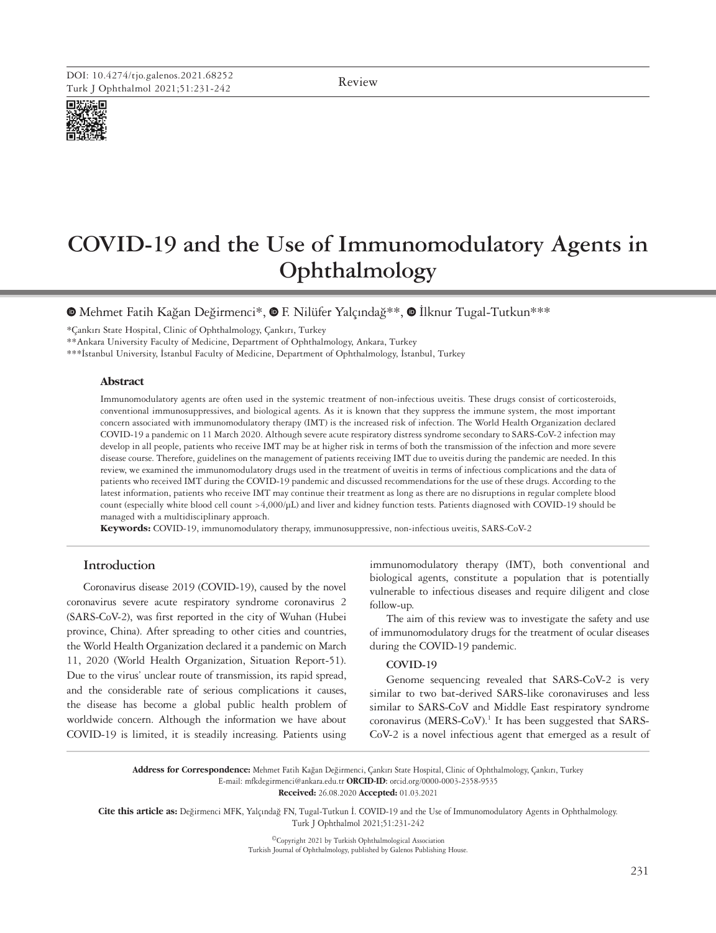Review



# **COVID-19 and the Use of Immunomodulatory Agents in Ophthalmology**

<sup>®</sup>Mehmet Fatih Kağan Değirmenci\*, <sup>®</sup> F. Nilüfer Yalçındağ\*\*, <sup>®</sup> İlknur Tugal-Tutkun\*\*\*

\*Çankırı State Hospital, Clinic of Ophthalmology, Çankırı, Turkey

\*\*Ankara University Faculty of Medicine, Department of Ophthalmology, Ankara, Turkey

\*\*\*İstanbul University, İstanbul Faculty of Medicine, Department of Ophthalmology, İstanbul, Turkey

# **Abstract**

Immunomodulatory agents are often used in the systemic treatment of non-infectious uveitis. These drugs consist of corticosteroids, conventional immunosuppressives, and biological agents. As it is known that they suppress the immune system, the most important concern associated with immunomodulatory therapy (IMT) is the increased risk of infection. The World Health Organization declared COVID-19 a pandemic on 11 March 2020. Although severe acute respiratory distress syndrome secondary to SARS-CoV-2 infection may develop in all people, patients who receive IMT may be at higher risk in terms of both the transmission of the infection and more severe disease course. Therefore, guidelines on the management of patients receiving IMT due to uveitis during the pandemic are needed. In this review, we examined the immunomodulatory drugs used in the treatment of uveitis in terms of infectious complications and the data of patients who received IMT during the COVID-19 pandemic and discussed recommendations for the use of these drugs. According to the latest information, patients who receive IMT may continue their treatment as long as there are no disruptions in regular complete blood count (especially white blood cell count >4,000/µL) and liver and kidney function tests. Patients diagnosed with COVID-19 should be managed with a multidisciplinary approach.

**Keywords:** COVID-19, immunomodulatory therapy, immunosuppressive, non-infectious uveitis, SARS-CoV-2

# **Introduction**

Coronavirus disease 2019 (COVID-19), caused by the novel coronavirus severe acute respiratory syndrome coronavirus 2 (SARS-CoV-2), was first reported in the city of Wuhan (Hubei province, China). After spreading to other cities and countries, the World Health Organization declared it a pandemic on March 11, 2020 (World Health Organization, Situation Report-51). Due to the virus' unclear route of transmission, its rapid spread, and the considerable rate of serious complications it causes, the disease has become a global public health problem of worldwide concern. Although the information we have about COVID-19 is limited, it is steadily increasing. Patients using

immunomodulatory therapy (IMT), both conventional and biological agents, constitute a population that is potentially vulnerable to infectious diseases and require diligent and close follow-up.

The aim of this review was to investigate the safety and use of immunomodulatory drugs for the treatment of ocular diseases during the COVID-19 pandemic.

#### **COVID-19**

Genome sequencing revealed that SARS-CoV-2 is very similar to two bat-derived SARS-like coronaviruses and less similar to SARS-CoV and Middle East respiratory syndrome coronavirus (MERS-CoV). 1 It has been suggested that SARS-CoV-2 is a novel infectious agent that emerged as a result of

**Address for Correspondence:** Mehmet Fatih Kağan Değirmenci, Çankırı State Hospital, Clinic of Ophthalmology, Çankırı, Turkey E-mail: mfkdegirmenci@ankara.edu.tr **ORCID-ID:** orcid.org/0000-0003-2358-9535

**Received:** 26.08.2020 **Accepted:** 01.03.2021

**Cite this article as:** Değirmenci MFK, Yalçındağ FN, Tugal-Tutkun İ. COVID-19 and the Use of Immunomodulatory Agents in Ophthalmology. Turk J Ophthalmol 2021;51:231-242

> ©Copyright 2021 by Turkish Ophthalmological Association Turkish Journal of Ophthalmology, published by Galenos Publishing House.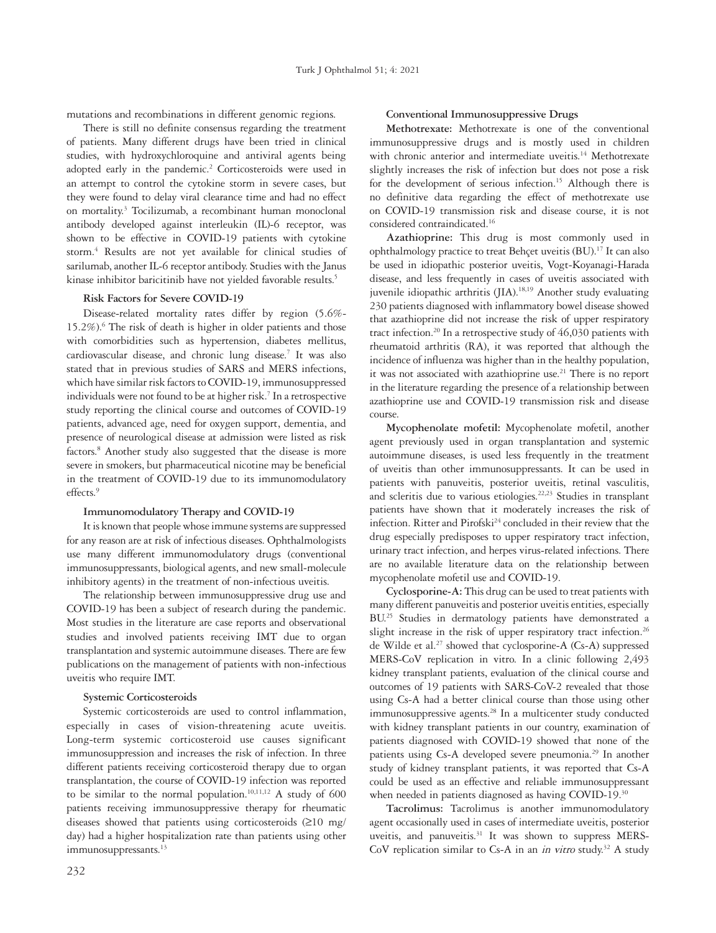mutations and recombinations in different genomic regions.

There is still no definite consensus regarding the treatment of patients. Many different drugs have been tried in clinical studies, with hydroxychloroquine and antiviral agents being adopted early in the pandemic.<sup>2</sup> Corticosteroids were used in an attempt to control the cytokine storm in severe cases, but they were found to delay viral clearance time and had no effect on mortality.<sup>3</sup> Tocilizumab, a recombinant human monoclonal antibody developed against interleukin (IL)-6 receptor, was shown to be effective in COVID-19 patients with cytokine storm.4 Results are not yet available for clinical studies of sarilumab, another IL-6 receptor antibody. Studies with the Janus kinase inhibitor baricitinib have not vielded favorable results.<sup>5</sup>

# **Risk Factors for Severe COVID-19**

Disease-related mortality rates differ by region (5.6%- 15.2%).6 The risk of death is higher in older patients and those with comorbidities such as hypertension, diabetes mellitus, cardiovascular disease, and chronic lung disease.<sup>7</sup> It was also stated that in previous studies of SARS and MERS infections, which have similar risk factors to COVID-19, immunosuppressed individuals were not found to be at higher risk.<sup>7</sup> In a retrospective study reporting the clinical course and outcomes of COVID-19 patients, advanced age, need for oxygen support, dementia, and presence of neurological disease at admission were listed as risk factors.<sup>8</sup> Another study also suggested that the disease is more severe in smokers, but pharmaceutical nicotine may be beneficial in the treatment of COVID-19 due to its immunomodulatory effects.9

#### **Immunomodulatory Therapy and COVID-19**

It is known that people whose immune systems are suppressed for any reason are at risk of infectious diseases. Ophthalmologists use many different immunomodulatory drugs (conventional immunosuppressants, biological agents, and new small-molecule inhibitory agents) in the treatment of non-infectious uveitis.

The relationship between immunosuppressive drug use and COVID-19 has been a subject of research during the pandemic. Most studies in the literature are case reports and observational studies and involved patients receiving IMT due to organ transplantation and systemic autoimmune diseases. There are few publications on the management of patients with non-infectious uveitis who require IMT.

#### **Systemic Corticosteroids**

Systemic corticosteroids are used to control inflammation, especially in cases of vision-threatening acute uveitis. Long-term systemic corticosteroid use causes significant immunosuppression and increases the risk of infection. In three different patients receiving corticosteroid therapy due to organ transplantation, the course of COVID-19 infection was reported to be similar to the normal population.<sup>10,11,12</sup> A study of  $600$ patients receiving immunosuppressive therapy for rheumatic diseases showed that patients using corticosteroids (≥10 mg/ day) had a higher hospitalization rate than patients using other immunosuppressants.<sup>13</sup>

#### **Conventional Immunosuppressive Drugs**

**Methotrexate:** Methotrexate is one of the conventional immunosuppressive drugs and is mostly used in children with chronic anterior and intermediate uveitis.<sup>14</sup> Methotrexate slightly increases the risk of infection but does not pose a risk for the development of serious infection.<sup>15</sup> Although there is no definitive data regarding the effect of methotrexate use on COVID-19 transmission risk and disease course, it is not considered contraindicated.<sup>16</sup>

**Azathioprine:** This drug is most commonly used in ophthalmology practice to treat Behçet uveitis (BU).<sup>17</sup> It can also be used in idiopathic posterior uveitis, Vogt-Koyanagi-Harada disease, and less frequently in cases of uveitis associated with juvenile idiopathic arthritis (JIA).<sup>18,19</sup> Another study evaluating 230 patients diagnosed with inflammatory bowel disease showed that azathioprine did not increase the risk of upper respiratory tract infection.<sup>20</sup> In a retrospective study of  $46,030$  patients with rheumatoid arthritis (RA), it was reported that although the incidence of influenza was higher than in the healthy population, it was not associated with azathioprine use.<sup>21</sup> There is no report in the literature regarding the presence of a relationship between azathioprine use and COVID-19 transmission risk and disease course.

**Mycophenolate mofetil:** Mycophenolate mofetil, another agent previously used in organ transplantation and systemic autoimmune diseases, is used less frequently in the treatment of uveitis than other immunosuppressants. It can be used in patients with panuveitis, posterior uveitis, retinal vasculitis, and scleritis due to various etiologies.22,23 Studies in transplant patients have shown that it moderately increases the risk of infection. Ritter and Pirofski<sup>24</sup> concluded in their review that the drug especially predisposes to upper respiratory tract infection, urinary tract infection, and herpes virus-related infections. There are no available literature data on the relationship between mycophenolate mofetil use and COVID-19.

**Cyclosporine-A:** This drug can be used to treat patients with many different panuveitis and posterior uveitis entities, especially BU.<sup>25</sup> Studies in dermatology patients have demonstrated a slight increase in the risk of upper respiratory tract infection.<sup>26</sup> de Wilde et al.<sup>27</sup> showed that cyclosporine-A (Cs-A) suppressed MERS-CoV replication in vitro. In a clinic following 2,493 kidney transplant patients, evaluation of the clinical course and outcomes of 19 patients with SARS-CoV-2 revealed that those using Cs-A had a better clinical course than those using other immunosuppressive agents.<sup>28</sup> In a multicenter study conducted with kidney transplant patients in our country, examination of patients diagnosed with COVID-19 showed that none of the patients using Cs-A developed severe pneumonia.<sup>29</sup> In another study of kidney transplant patients, it was reported that Cs-A could be used as an effective and reliable immunosuppressant when needed in patients diagnosed as having COVID-19.<sup>30</sup>

**Tacrolimus:** Tacrolimus is another immunomodulatory agent occasionally used in cases of intermediate uveitis, posterior uveitis, and panuveitis.<sup>31</sup> It was shown to suppress MERS-CoV replication similar to Cs-A in an *in vitro* study.<sup>32</sup> A study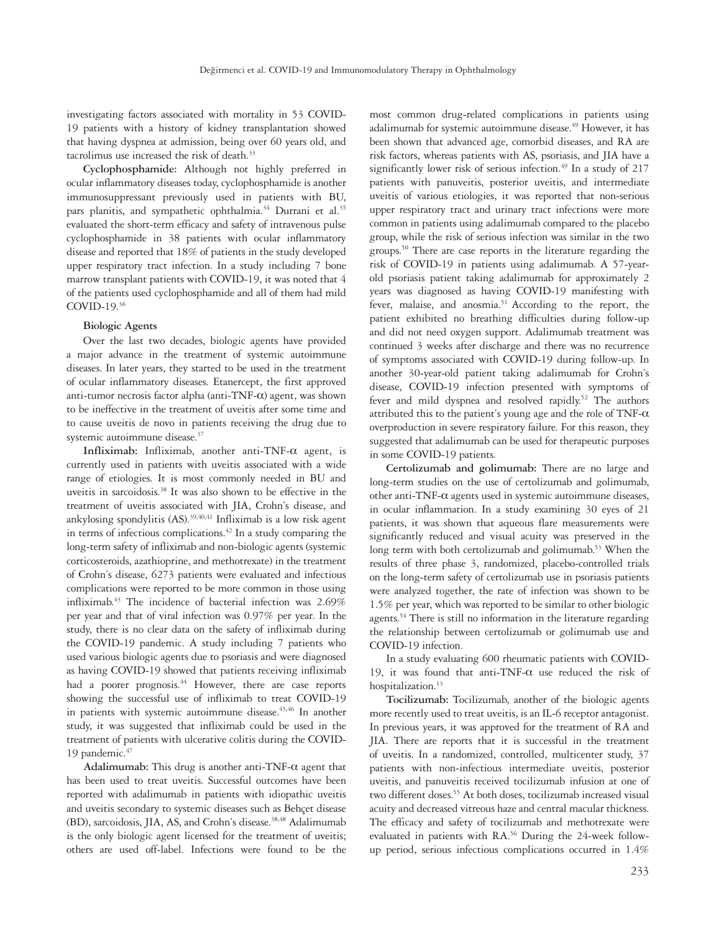investigating factors associated with mortality in 53 COVID-19 patients with a history of kidney transplantation showed that having dyspnea at admission, being over 60 years old, and tacrolimus use increased the risk of death.<sup>33</sup>

**Cyclophosphamide:** Although not highly preferred in ocular inflammatory diseases today, cyclophosphamide is another immunosuppressant previously used in patients with BU, pars planitis, and sympathetic ophthalmia.<sup>34</sup> Durrani et al.<sup>35</sup> evaluated the short-term efficacy and safety of intravenous pulse cyclophosphamide in 38 patients with ocular inflammatory disease and reported that 18% of patients in the study developed upper respiratory tract infection. In a study including 7 bone marrow transplant patients with COVID-19, it was noted that 4 of the patients used cyclophosphamide and all of them had mild COVID-19.36

## **Biologic Agents**

Over the last two decades, biologic agents have provided a major advance in the treatment of systemic autoimmune diseases. In later years, they started to be used in the treatment of ocular inflammatory diseases. Etanercept, the first approved anti-tumor necrosis factor alpha (anti-TNF-α) agent, was shown to be ineffective in the treatment of uveitis after some time and to cause uveitis de novo in patients receiving the drug due to systemic autoimmune disease.<sup>37</sup>

**Infliximab:** Infliximab, another anti-TNF-α agent, is currently used in patients with uveitis associated with a wide range of etiologies. It is most commonly needed in BU and uveitis in sarcoidosis.38 It was also shown to be effective in the treatment of uveitis associated with JIA, Crohn's disease, and ankylosing spondylitis  $(AS)^{39,40,41}$  Infliximab is a low risk agent in terms of infectious complications.42 In a study comparing the long-term safety of infliximab and non-biologic agents (systemic corticosteroids, azathioprine, and methotrexate) in the treatment of Crohn's disease, 6273 patients were evaluated and infectious complications were reported to be more common in those using infliximab.43 The incidence of bacterial infection was 2.69% per year and that of viral infection was 0.97% per year. In the study, there is no clear data on the safety of infliximab during the COVID-19 pandemic. A study including 7 patients who used various biologic agents due to psoriasis and were diagnosed as having COVID-19 showed that patients receiving infliximab had a poorer prognosis.<sup>44</sup> However, there are case reports showing the successful use of infliximab to treat COVID-19 in patients with systemic autoimmune disease.<sup>45,46</sup> In another study, it was suggested that infliximab could be used in the treatment of patients with ulcerative colitis during the COVID-19 pandemic.<sup>47</sup>

**Adalimumab:** This drug is another anti-TNF-α agent that has been used to treat uveitis. Successful outcomes have been reported with adalimumab in patients with idiopathic uveitis and uveitis secondary to systemic diseases such as Behçet disease (BD), sarcoidosis, JIA, AS, and Crohn's disease.<sup>38,48</sup> Adalimumab is the only biologic agent licensed for the treatment of uveitis; others are used off-label. Infections were found to be the

most common drug-related complications in patients using adalimumab for systemic autoimmune disease.<sup>49</sup> However, it has been shown that advanced age, comorbid diseases, and RA are risk factors, whereas patients with AS, psoriasis, and JIA have a significantly lower risk of serious infection.<sup>49</sup> In a study of 217 patients with panuveitis, posterior uveitis, and intermediate uveitis of various etiologies, it was reported that non-serious upper respiratory tract and urinary tract infections were more common in patients using adalimumab compared to the placebo group, while the risk of serious infection was similar in the two groups.50 There are case reports in the literature regarding the risk of COVID-19 in patients using adalimumab. A 57-yearold psoriasis patient taking adalimumab for approximately 2 years was diagnosed as having COVID-19 manifesting with fever, malaise, and anosmia.<sup>51</sup> According to the report, the patient exhibited no breathing difficulties during follow-up and did not need oxygen support. Adalimumab treatment was continued 3 weeks after discharge and there was no recurrence of symptoms associated with COVID-19 during follow-up. In another 30-year-old patient taking adalimumab for Crohn's disease, COVID-19 infection presented with symptoms of fever and mild dyspnea and resolved rapidly.<sup>52</sup> The authors attributed this to the patient's young age and the role of TNF- $\alpha$ overproduction in severe respiratory failure. For this reason, they suggested that adalimumab can be used for therapeutic purposes in some COVID-19 patients.

**Certolizumab and golimumab:** There are no large and long-term studies on the use of certolizumab and golimumab, other anti-TNF-α agents used in systemic autoimmune diseases, in ocular inflammation. In a study examining 30 eyes of 21 patients, it was shown that aqueous flare measurements were significantly reduced and visual acuity was preserved in the long term with both certolizumab and golimumab.<sup>53</sup> When the results of three phase 3, randomized, placebo-controlled trials on the long-term safety of certolizumab use in psoriasis patients were analyzed together, the rate of infection was shown to be 1.5% per year, which was reported to be similar to other biologic agents.<sup>54</sup> There is still no information in the literature regarding the relationship between certolizumab or golimumab use and COVID-19 infection.

In a study evaluating 600 rheumatic patients with COVID-19, it was found that anti-TNF-α use reduced the risk of hospitalization.<sup>13</sup>

**Tocilizumab:** Tocilizumab, another of the biologic agents more recently used to treat uveitis, is an IL-6 receptor antagonist. In previous years, it was approved for the treatment of RA and JIA. There are reports that it is successful in the treatment of uveitis. In a randomized, controlled, multicenter study, 37 patients with non-infectious intermediate uveitis, posterior uveitis, and panuveitis received tocilizumab infusion at one of two different doses.<sup>55</sup> At both doses, tocilizumab increased visual acuity and decreased vitreous haze and central macular thickness. The efficacy and safety of tocilizumab and methotrexate were evaluated in patients with RA.<sup>56</sup> During the 24-week followup period, serious infectious complications occurred in 1.4%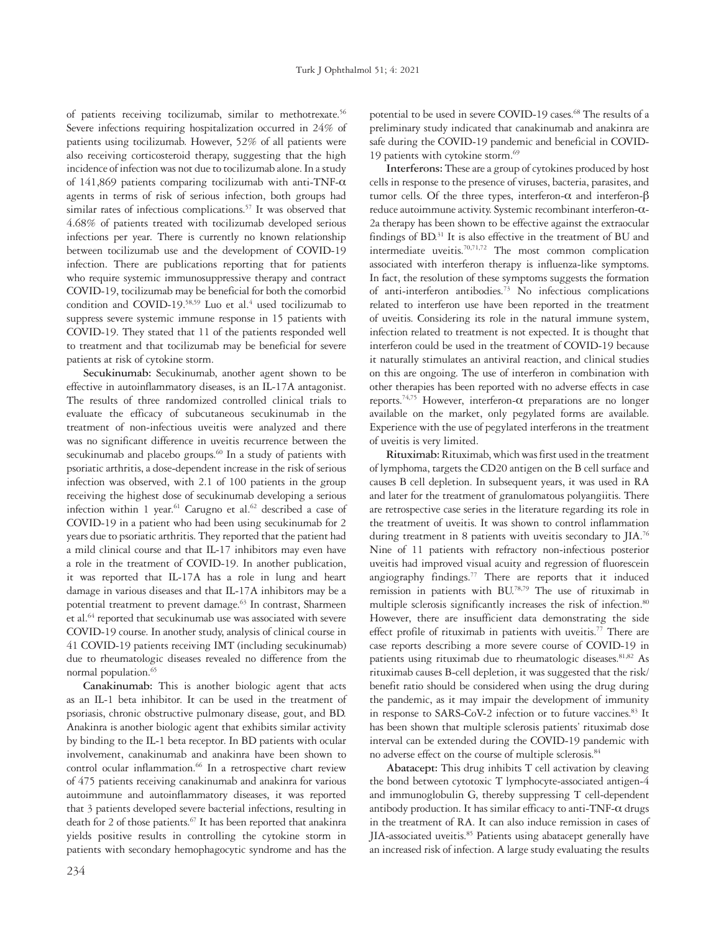of patients receiving tocilizumab, similar to methotrexate.<sup>56</sup> Severe infections requiring hospitalization occurred in 24% of patients using tocilizumab. However, 52% of all patients were also receiving corticosteroid therapy, suggesting that the high incidence of infection was not due to tocilizumab alone. In a study of 141,869 patients comparing tocilizumab with anti-TNF-α agents in terms of risk of serious infection, both groups had similar rates of infectious complications.<sup>57</sup> It was observed that 4.68% of patients treated with tocilizumab developed serious infections per year. There is currently no known relationship between tocilizumab use and the development of COVID-19 infection. There are publications reporting that for patients who require systemic immunosuppressive therapy and contract COVID-19, tocilizumab may be beneficial for both the comorbid condition and COVID-19.<sup>58,59</sup> Luo et al.<sup>4</sup> used tocilizumab to suppress severe systemic immune response in 15 patients with COVID-19. They stated that 11 of the patients responded well to treatment and that tocilizumab may be beneficial for severe patients at risk of cytokine storm.

**Secukinumab:** Secukinumab, another agent shown to be effective in autoinflammatory diseases, is an IL-17A antagonist. The results of three randomized controlled clinical trials to evaluate the efficacy of subcutaneous secukinumab in the treatment of non-infectious uveitis were analyzed and there was no significant difference in uveitis recurrence between the secukinumab and placebo groups.<sup>60</sup> In a study of patients with psoriatic arthritis, a dose-dependent increase in the risk of serious infection was observed, with 2.1 of 100 patients in the group receiving the highest dose of secukinumab developing a serious infection within 1 year.<sup>61</sup> Carugno et al.<sup>62</sup> described a case of COVID-19 in a patient who had been using secukinumab for 2 years due to psoriatic arthritis. They reported that the patient had a mild clinical course and that IL-17 inhibitors may even have a role in the treatment of COVID-19. In another publication, it was reported that IL-17A has a role in lung and heart damage in various diseases and that IL-17A inhibitors may be a potential treatment to prevent damage.<sup>63</sup> In contrast, Sharmeen et al.<sup>64</sup> reported that secukinumab use was associated with severe COVID-19 course. In another study, analysis of clinical course in 41 COVID-19 patients receiving IMT (including secukinumab) due to rheumatologic diseases revealed no difference from the normal population.<sup>65</sup>

**Canakinumab:** This is another biologic agent that acts as an IL-1 beta inhibitor. It can be used in the treatment of psoriasis, chronic obstructive pulmonary disease, gout, and BD. Anakinra is another biologic agent that exhibits similar activity by binding to the IL-1 beta receptor. In BD patients with ocular involvement, canakinumab and anakinra have been shown to control ocular inflammation.<sup>66</sup> In a retrospective chart review of 475 patients receiving canakinumab and anakinra for various autoimmune and autoinflammatory diseases, it was reported that 3 patients developed severe bacterial infections, resulting in death for 2 of those patients.<sup>67</sup> It has been reported that anakinra yields positive results in controlling the cytokine storm in patients with secondary hemophagocytic syndrome and has the

potential to be used in severe COVID-19 cases.<sup>68</sup> The results of a preliminary study indicated that canakinumab and anakinra are safe during the COVID-19 pandemic and beneficial in COVID-19 patients with cytokine storm.<sup>69</sup>

**Interferons:** These are a group of cytokines produced by host cells in response to the presence of viruses, bacteria, parasites, and tumor cells. Of the three types, interferon-α and interferon-β reduce autoimmune activity. Systemic recombinant interferon-α-2a therapy has been shown to be effective against the extraocular findings of BD.<sup>31</sup> It is also effective in the treatment of BU and intermediate uveitis.70,71,72 The most common complication associated with interferon therapy is influenza-like symptoms. In fact, the resolution of these symptoms suggests the formation of anti-interferon antibodies.73 No infectious complications related to interferon use have been reported in the treatment of uveitis. Considering its role in the natural immune system, infection related to treatment is not expected. It is thought that interferon could be used in the treatment of COVID-19 because it naturally stimulates an antiviral reaction, and clinical studies on this are ongoing. The use of interferon in combination with other therapies has been reported with no adverse effects in case reports.<sup>74,75</sup> However, interferon-α preparations are no longer available on the market, only pegylated forms are available. Experience with the use of pegylated interferons in the treatment of uveitis is very limited.

**Rituximab:** Rituximab, which was first used in the treatment of lymphoma, targets the CD20 antigen on the B cell surface and causes B cell depletion. In subsequent years, it was used in RA and later for the treatment of granulomatous polyangiitis. There are retrospective case series in the literature regarding its role in the treatment of uveitis. It was shown to control inflammation during treatment in 8 patients with uveitis secondary to JIA.<sup>76</sup> Nine of 11 patients with refractory non-infectious posterior uveitis had improved visual acuity and regression of fluorescein angiography findings.<sup>77</sup> There are reports that it induced remission in patients with BU.78,79 The use of rituximab in multiple sclerosis significantly increases the risk of infection.<sup>80</sup> However, there are insufficient data demonstrating the side effect profile of rituximab in patients with uveitis.<sup>77</sup> There are case reports describing a more severe course of COVID-19 in patients using rituximab due to rheumatologic diseases.<sup>81,82</sup> As rituximab causes B-cell depletion, it was suggested that the risk/ benefit ratio should be considered when using the drug during the pandemic, as it may impair the development of immunity in response to SARS-CoV-2 infection or to future vaccines.<sup>83</sup> It has been shown that multiple sclerosis patients' rituximab dose interval can be extended during the COVID-19 pandemic with no adverse effect on the course of multiple sclerosis.<sup>84</sup>

**Abatacept:** This drug inhibits T cell activation by cleaving the bond between cytotoxic T lymphocyte-associated antigen-4 and immunoglobulin G, thereby suppressing T cell-dependent antibody production. It has similar efficacy to anti-TNF- $\alpha$  drugs in the treatment of RA. It can also induce remission in cases of JIA-associated uveitis.85 Patients using abatacept generally have an increased risk of infection. A large study evaluating the results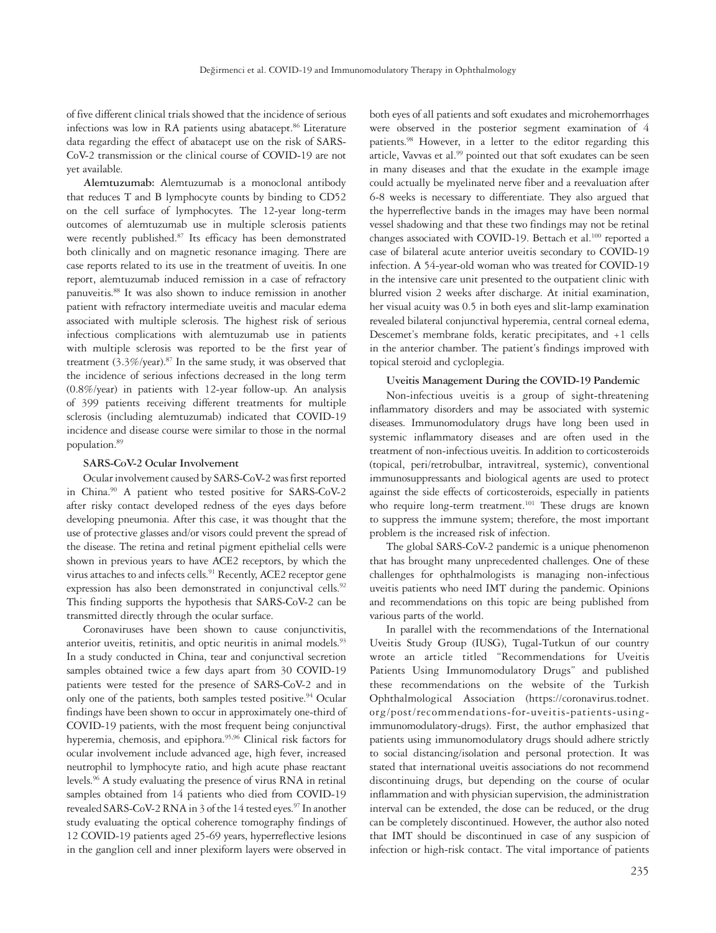of five different clinical trials showed that the incidence of serious infections was low in RA patients using abatacept.<sup>86</sup> Literature data regarding the effect of abatacept use on the risk of SARS-CoV-2 transmission or the clinical course of COVID-19 are not yet available.

**Alemtuzumab:** Alemtuzumab is a monoclonal antibody that reduces T and B lymphocyte counts by binding to CD52 on the cell surface of lymphocytes. The 12-year long-term outcomes of alemtuzumab use in multiple sclerosis patients were recently published.<sup>87</sup> Its efficacy has been demonstrated both clinically and on magnetic resonance imaging. There are case reports related to its use in the treatment of uveitis. In one report, alemtuzumab induced remission in a case of refractory panuveitis.88 It was also shown to induce remission in another patient with refractory intermediate uveitis and macular edema associated with multiple sclerosis. The highest risk of serious infectious complications with alemtuzumab use in patients with multiple sclerosis was reported to be the first year of treatment  $(3.3\%/year)$ .<sup>87</sup> In the same study, it was observed that the incidence of serious infections decreased in the long term (0.8%/year) in patients with 12-year follow-up. An analysis of 399 patients receiving different treatments for multiple sclerosis (including alemtuzumab) indicated that COVID-19 incidence and disease course were similar to those in the normal population.89

#### **SARS-CoV-2 Ocular Involvement**

Ocular involvement caused by SARS-CoV-2 was first reported in China.90 A patient who tested positive for SARS-CoV-2 after risky contact developed redness of the eyes days before developing pneumonia. After this case, it was thought that the use of protective glasses and/or visors could prevent the spread of the disease. The retina and retinal pigment epithelial cells were shown in previous years to have ACE2 receptors, by which the virus attaches to and infects cells.<sup>91</sup> Recently, ACE2 receptor gene expression has also been demonstrated in conjunctival cells.<sup>92</sup> This finding supports the hypothesis that SARS-CoV-2 can be transmitted directly through the ocular surface.

Coronaviruses have been shown to cause conjunctivitis, anterior uveitis, retinitis, and optic neuritis in animal models.<sup>93</sup> In a study conducted in China, tear and conjunctival secretion samples obtained twice a few days apart from 30 COVID-19 patients were tested for the presence of SARS-CoV-2 and in only one of the patients, both samples tested positive.<sup>94</sup> Ocular findings have been shown to occur in approximately one-third of COVID-19 patients, with the most frequent being conjunctival hyperemia, chemosis, and epiphora.<sup>95,96</sup> Clinical risk factors for ocular involvement include advanced age, high fever, increased neutrophil to lymphocyte ratio, and high acute phase reactant levels.<sup>96</sup> A study evaluating the presence of virus RNA in retinal samples obtained from 14 patients who died from COVID-19 revealed SARS-CoV-2 RNA in 3 of the 14 tested eyes.<sup>97</sup> In another study evaluating the optical coherence tomography findings of 12 COVID-19 patients aged 25-69 years, hyperreflective lesions in the ganglion cell and inner plexiform layers were observed in

both eyes of all patients and soft exudates and microhemorrhages were observed in the posterior segment examination of 4 patients.98 However, in a letter to the editor regarding this article, Vavvas et al.<sup>99</sup> pointed out that soft exudates can be seen in many diseases and that the exudate in the example image could actually be myelinated nerve fiber and a reevaluation after 6-8 weeks is necessary to differentiate. They also argued that the hyperreflective bands in the images may have been normal vessel shadowing and that these two findings may not be retinal changes associated with COVID-19. Bettach et al.<sup>100</sup> reported a case of bilateral acute anterior uveitis secondary to COVID-19 infection. A 54-year-old woman who was treated for COVID-19 in the intensive care unit presented to the outpatient clinic with blurred vision 2 weeks after discharge. At initial examination, her visual acuity was 0.5 in both eyes and slit-lamp examination revealed bilateral conjunctival hyperemia, central corneal edema, Descemet's membrane folds, keratic precipitates, and +1 cells in the anterior chamber. The patient's findings improved with topical steroid and cycloplegia.

#### **Uveitis Management During the COVID-19 Pandemic**

Non-infectious uveitis is a group of sight-threatening inflammatory disorders and may be associated with systemic diseases. Immunomodulatory drugs have long been used in systemic inflammatory diseases and are often used in the treatment of non-infectious uveitis. In addition to corticosteroids (topical, peri/retrobulbar, intravitreal, systemic), conventional immunosuppressants and biological agents are used to protect against the side effects of corticosteroids, especially in patients who require long-term treatment.<sup>101</sup> These drugs are known to suppress the immune system; therefore, the most important problem is the increased risk of infection.

The global SARS-CoV-2 pandemic is a unique phenomenon that has brought many unprecedented challenges. One of these challenges for ophthalmologists is managing non-infectious uveitis patients who need IMT during the pandemic. Opinions and recommendations on this topic are being published from various parts of the world.

In parallel with the recommendations of the International Uveitis Study Group (IUSG), Tugal-Tutkun of our country wrote an article titled "Recommendations for Uveitis Patients Using Immunomodulatory Drugs" and published these recommendations on the website of the Turkish Ophthalmological Association (https://coronavirus.todnet. org/post/recommendations-for-uveitis-patients-usingimmunomodulatory-drugs). First, the author emphasized that patients using immunomodulatory drugs should adhere strictly to social distancing/isolation and personal protection. It was stated that international uveitis associations do not recommend discontinuing drugs, but depending on the course of ocular inflammation and with physician supervision, the administration interval can be extended, the dose can be reduced, or the drug can be completely discontinued. However, the author also noted that IMT should be discontinued in case of any suspicion of infection or high-risk contact. The vital importance of patients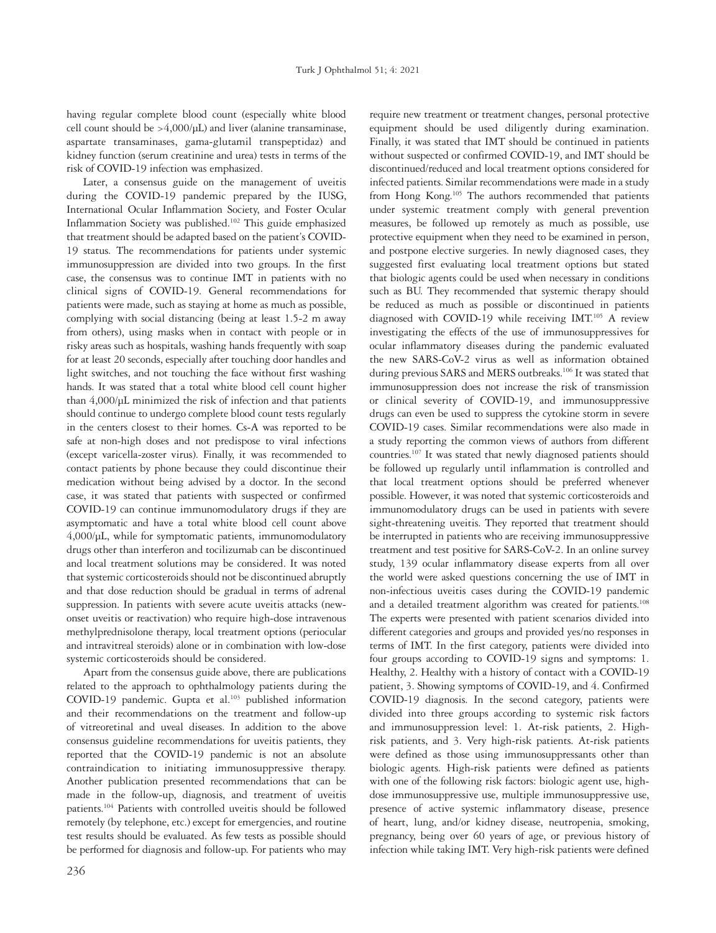having regular complete blood count (especially white blood cell count should be >4,000/μL) and liver (alanine transaminase, aspartate transaminases, gama-glutamil transpeptidaz) and kidney function (serum creatinine and urea) tests in terms of the risk of COVID-19 infection was emphasized.

Later, a consensus guide on the management of uveitis during the COVID-19 pandemic prepared by the IUSG, International Ocular Inflammation Society, and Foster Ocular Inflammation Society was published.102 This guide emphasized that treatment should be adapted based on the patient's COVID-19 status. The recommendations for patients under systemic immunosuppression are divided into two groups. In the first case, the consensus was to continue IMT in patients with no clinical signs of COVID-19. General recommendations for patients were made, such as staying at home as much as possible, complying with social distancing (being at least 1.5-2 m away from others), using masks when in contact with people or in risky areas such as hospitals, washing hands frequently with soap for at least 20 seconds, especially after touching door handles and light switches, and not touching the face without first washing hands. It was stated that a total white blood cell count higher than 4,000/µL minimized the risk of infection and that patients should continue to undergo complete blood count tests regularly in the centers closest to their homes. Cs-A was reported to be safe at non-high doses and not predispose to viral infections (except varicella-zoster virus). Finally, it was recommended to contact patients by phone because they could discontinue their medication without being advised by a doctor. In the second case, it was stated that patients with suspected or confirmed COVID-19 can continue immunomodulatory drugs if they are asymptomatic and have a total white blood cell count above 4,000/µL, while for symptomatic patients, immunomodulatory drugs other than interferon and tocilizumab can be discontinued and local treatment solutions may be considered. It was noted that systemic corticosteroids should not be discontinued abruptly and that dose reduction should be gradual in terms of adrenal suppression. In patients with severe acute uveitis attacks (newonset uveitis or reactivation) who require high-dose intravenous methylprednisolone therapy, local treatment options (periocular and intravitreal steroids) alone or in combination with low-dose systemic corticosteroids should be considered.

Apart from the consensus guide above, there are publications related to the approach to ophthalmology patients during the COVID-19 pandemic. Gupta et al.<sup>103</sup> published information and their recommendations on the treatment and follow-up of vitreoretinal and uveal diseases. In addition to the above consensus guideline recommendations for uveitis patients, they reported that the COVID-19 pandemic is not an absolute contraindication to initiating immunosuppressive therapy. Another publication presented recommendations that can be made in the follow-up, diagnosis, and treatment of uveitis patients.104 Patients with controlled uveitis should be followed remotely (by telephone, etc.) except for emergencies, and routine test results should be evaluated. As few tests as possible should be performed for diagnosis and follow-up. For patients who may

under systemic treatment comply with general prevention measures, be followed up remotely as much as possible, use protective equipment when they need to be examined in person, and postpone elective surgeries. In newly diagnosed cases, they suggested first evaluating local treatment options but stated that biologic agents could be used when necessary in conditions such as BU. They recommended that systemic therapy should be reduced as much as possible or discontinued in patients diagnosed with COVID-19 while receiving IMT.<sup>105</sup> A review investigating the effects of the use of immunosuppressives for ocular inflammatory diseases during the pandemic evaluated the new SARS-CoV-2 virus as well as information obtained during previous SARS and MERS outbreaks.<sup>106</sup> It was stated that immunosuppression does not increase the risk of transmission or clinical severity of COVID-19, and immunosuppressive drugs can even be used to suppress the cytokine storm in severe COVID-19 cases. Similar recommendations were also made in a study reporting the common views of authors from different countries.107 It was stated that newly diagnosed patients should be followed up regularly until inflammation is controlled and that local treatment options should be preferred whenever possible. However, it was noted that systemic corticosteroids and immunomodulatory drugs can be used in patients with severe sight-threatening uveitis. They reported that treatment should be interrupted in patients who are receiving immunosuppressive treatment and test positive for SARS-CoV-2. In an online survey study, 139 ocular inflammatory disease experts from all over the world were asked questions concerning the use of IMT in non-infectious uveitis cases during the COVID-19 pandemic and a detailed treatment algorithm was created for patients.<sup>108</sup> The experts were presented with patient scenarios divided into different categories and groups and provided yes/no responses in terms of IMT. In the first category, patients were divided into four groups according to COVID-19 signs and symptoms: 1. Healthy, 2. Healthy with a history of contact with a COVID-19 patient, 3. Showing symptoms of COVID-19, and 4. Confirmed COVID-19 diagnosis. In the second category, patients were divided into three groups according to systemic risk factors and immunosuppression level: 1. At-risk patients, 2. Highrisk patients, and 3. Very high-risk patients. At-risk patients were defined as those using immunosuppressants other than biologic agents. High-risk patients were defined as patients with one of the following risk factors: biologic agent use, highdose immunosuppressive use, multiple immunosuppressive use, presence of active systemic inflammatory disease, presence of heart, lung, and/or kidney disease, neutropenia, smoking, pregnancy, being over 60 years of age, or previous history of infection while taking IMT. Very high-risk patients were defined

require new treatment or treatment changes, personal protective equipment should be used diligently during examination. Finally, it was stated that IMT should be continued in patients without suspected or confirmed COVID-19, and IMT should be discontinued/reduced and local treatment options considered for infected patients. Similar recommendations were made in a study from Hong Kong.<sup>105</sup> The authors recommended that patients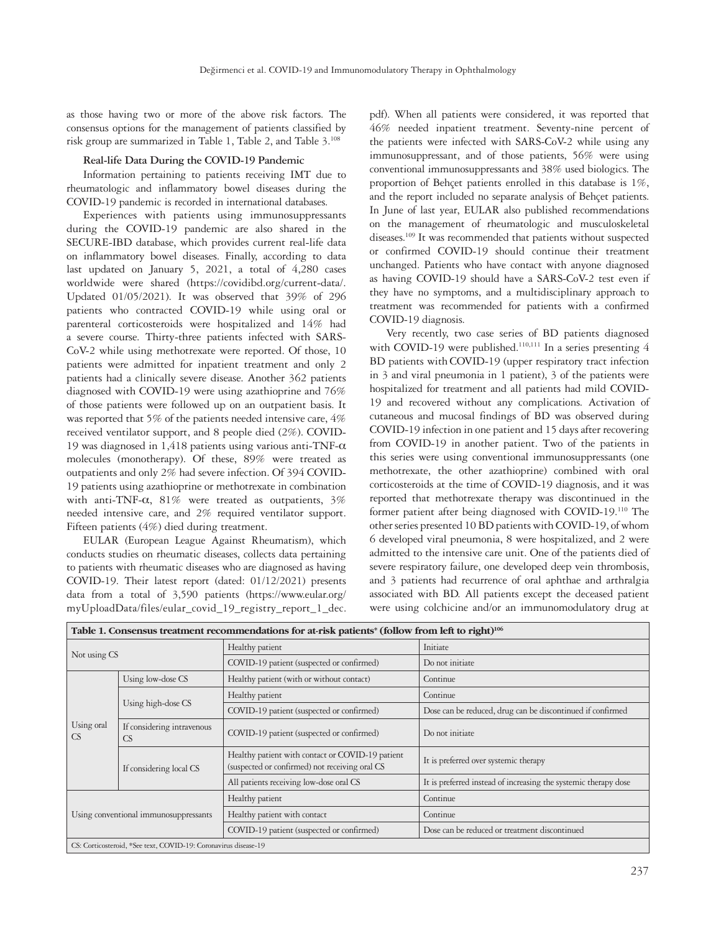as those having two or more of the above risk factors. The consensus options for the management of patients classified by risk group are summarized in Table 1, Table 2, and Table 3.108

# **Real-life Data During the COVID-19 Pandemic**

Information pertaining to patients receiving IMT due to rheumatologic and inflammatory bowel diseases during the COVID-19 pandemic is recorded in international databases.

Experiences with patients using immunosuppressants during the COVID-19 pandemic are also shared in the SECURE-IBD database, which provides current real-life data on inflammatory bowel diseases. Finally, according to data last updated on January 5, 2021, a total of 4,280 cases worldwide were shared (https://covidibd.org/current-data/. Updated 01/05/2021). It was observed that 39% of 296 patients who contracted COVID-19 while using oral or parenteral corticosteroids were hospitalized and 14% had a severe course. Thirty-three patients infected with SARS-CoV-2 while using methotrexate were reported. Of those, 10 patients were admitted for inpatient treatment and only 2 patients had a clinically severe disease. Another 362 patients diagnosed with COVID-19 were using azathioprine and 76% of those patients were followed up on an outpatient basis. It was reported that 5% of the patients needed intensive care, 4% received ventilator support, and 8 people died (2%). COVID-19 was diagnosed in 1,418 patients using various anti-TNF-α molecules (monotherapy). Of these, 89% were treated as outpatients and only 2% had severe infection. Of 394 COVID-19 patients using azathioprine or methotrexate in combination with anti-TNF- $\alpha$ , 81% were treated as outpatients, 3% needed intensive care, and 2% required ventilator support. Fifteen patients (4%) died during treatment.

EULAR (European League Against Rheumatism), which conducts studies on rheumatic diseases, collects data pertaining to patients with rheumatic diseases who are diagnosed as having COVID-19. Their latest report (dated: 01/12/2021) presents data from a total of 3,590 patients (https://www.eular.org/ myUploadData/files/eular\_covid\_19\_registry\_report\_1\_dec. pdf). When all patients were considered, it was reported that 46% needed inpatient treatment. Seventy-nine percent of the patients were infected with SARS-CoV-2 while using any immunosuppressant, and of those patients, 56% were using conventional immunosuppressants and 38% used biologics. The proportion of Behçet patients enrolled in this database is 1%, and the report included no separate analysis of Behçet patients. In June of last year, EULAR also published recommendations on the management of rheumatologic and musculoskeletal diseases.109 It was recommended that patients without suspected or confirmed COVID-19 should continue their treatment unchanged. Patients who have contact with anyone diagnosed as having COVID-19 should have a SARS-CoV-2 test even if they have no symptoms, and a multidisciplinary approach to treatment was recommended for patients with a confirmed COVID-19 diagnosis.

Very recently, two case series of BD patients diagnosed with COVID-19 were published.<sup>110,111</sup> In a series presenting 4 BD patients with COVID-19 (upper respiratory tract infection in 3 and viral pneumonia in 1 patient), 3 of the patients were hospitalized for treatment and all patients had mild COVID-19 and recovered without any complications. Activation of cutaneous and mucosal findings of BD was observed during COVID-19 infection in one patient and 15 days after recovering from COVID-19 in another patient. Two of the patients in this series were using conventional immunosuppressants (one methotrexate, the other azathioprine) combined with oral corticosteroids at the time of COVID-19 diagnosis, and it was reported that methotrexate therapy was discontinued in the former patient after being diagnosed with COVID-19.110 The other series presented 10 BD patients with COVID-19, of whom 6 developed viral pneumonia, 8 were hospitalized, and 2 were admitted to the intensive care unit. One of the patients died of severe respiratory failure, one developed deep vein thrombosis, and 3 patients had recurrence of oral aphthae and arthralgia associated with BD. All patients except the deceased patient were using colchicine and/or an immunomodulatory drug at

| Table 1. Consensus treatment recommendations for at-risk patients* (follow from left to right) <sup>106</sup> |                                                                 |                                                                                                    |                                                                 |  |  |  |  |
|---------------------------------------------------------------------------------------------------------------|-----------------------------------------------------------------|----------------------------------------------------------------------------------------------------|-----------------------------------------------------------------|--|--|--|--|
| Not using CS                                                                                                  |                                                                 | Healthy patient                                                                                    | Initiate                                                        |  |  |  |  |
|                                                                                                               |                                                                 | COVID-19 patient (suspected or confirmed)                                                          | Do not initiate                                                 |  |  |  |  |
| Using oral<br><b>CS</b>                                                                                       | Using low-dose CS                                               | Healthy patient (with or without contact)                                                          | Continue                                                        |  |  |  |  |
|                                                                                                               | Using high-dose CS                                              | Healthy patient                                                                                    | Continue                                                        |  |  |  |  |
|                                                                                                               |                                                                 | COVID-19 patient (suspected or confirmed)                                                          | Dose can be reduced, drug can be discontinued if confirmed      |  |  |  |  |
|                                                                                                               | If considering intravenous<br><b>CS</b>                         | COVID-19 patient (suspected or confirmed)                                                          | Do not initiate                                                 |  |  |  |  |
|                                                                                                               | If considering local CS                                         | Healthy patient with contact or COVID-19 patient<br>(suspected or confirmed) not receiving oral CS | It is preferred over systemic therapy                           |  |  |  |  |
|                                                                                                               |                                                                 | All patients receiving low-dose oral CS                                                            | It is preferred instead of increasing the systemic therapy dose |  |  |  |  |
| Using conventional immunosuppressants                                                                         |                                                                 | Healthy patient                                                                                    | Continue                                                        |  |  |  |  |
|                                                                                                               |                                                                 | Healthy patient with contact                                                                       | Continue                                                        |  |  |  |  |
|                                                                                                               |                                                                 | COVID-19 patient (suspected or confirmed)                                                          | Dose can be reduced or treatment discontinued                   |  |  |  |  |
|                                                                                                               | CS: Corticosteroid, *See text, COVID-19: Coronavirus disease-19 |                                                                                                    |                                                                 |  |  |  |  |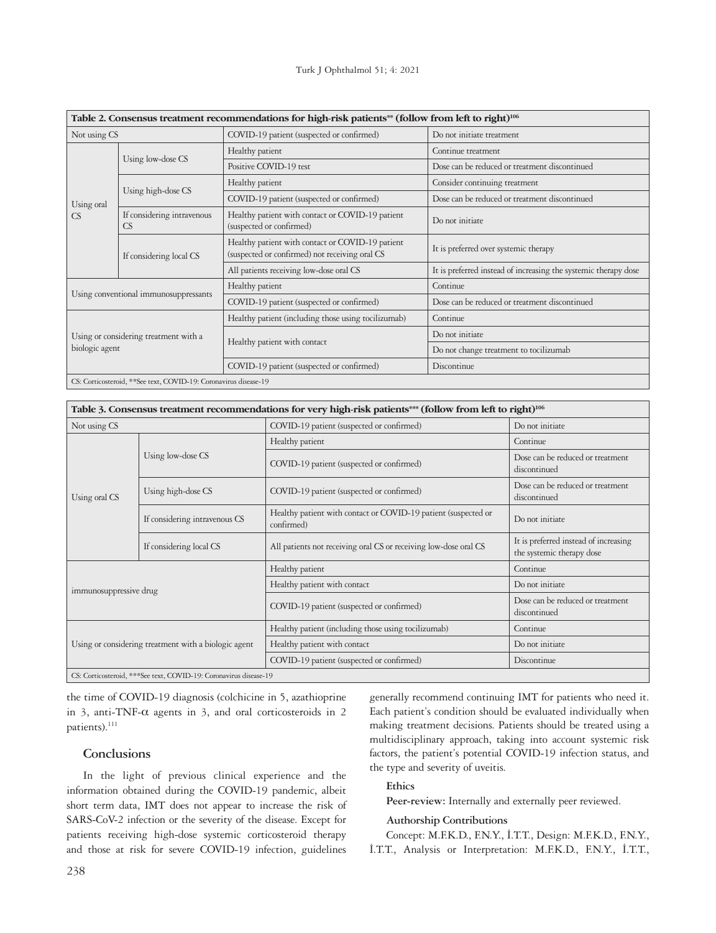| Table 2. Consensus treatment recommendations for high-risk patients** (follow from left to right) <sup>106</sup> |                                         |                                                                                                    |                                                                 |  |  |  |  |
|------------------------------------------------------------------------------------------------------------------|-----------------------------------------|----------------------------------------------------------------------------------------------------|-----------------------------------------------------------------|--|--|--|--|
| Not using CS                                                                                                     |                                         | COVID-19 patient (suspected or confirmed)                                                          | Do not initiate treatment                                       |  |  |  |  |
| Using oral<br>CS                                                                                                 | Using low-dose CS                       | Healthy patient                                                                                    | Continue treatment                                              |  |  |  |  |
|                                                                                                                  |                                         | Positive COVID-19 test                                                                             | Dose can be reduced or treatment discontinued                   |  |  |  |  |
|                                                                                                                  | Using high-dose CS                      | Healthy patient                                                                                    | Consider continuing treatment                                   |  |  |  |  |
|                                                                                                                  |                                         | COVID-19 patient (suspected or confirmed)                                                          | Dose can be reduced or treatment discontinued                   |  |  |  |  |
|                                                                                                                  | If considering intravenous<br><b>CS</b> | Healthy patient with contact or COVID-19 patient<br>(suspected or confirmed)                       | Do not initiate                                                 |  |  |  |  |
|                                                                                                                  | If considering local CS                 | Healthy patient with contact or COVID-19 patient<br>(suspected or confirmed) not receiving oral CS | It is preferred over systemic therapy                           |  |  |  |  |
|                                                                                                                  |                                         | All patients receiving low-dose oral CS                                                            | It is preferred instead of increasing the systemic therapy dose |  |  |  |  |
| Using conventional immunosuppressants                                                                            |                                         | Healthy patient                                                                                    | Continue                                                        |  |  |  |  |
|                                                                                                                  |                                         | COVID-19 patient (suspected or confirmed)                                                          | Dose can be reduced or treatment discontinued                   |  |  |  |  |
| Using or considering treatment with a<br>biologic agent                                                          |                                         | Healthy patient (including those using tocilizumab)                                                | Continue                                                        |  |  |  |  |
|                                                                                                                  |                                         |                                                                                                    | Do not initiate                                                 |  |  |  |  |
|                                                                                                                  |                                         | Healthy patient with contact                                                                       | Do not change treatment to tocilizumab                          |  |  |  |  |
|                                                                                                                  |                                         | COVID-19 patient (suspected or confirmed)                                                          | Discontinue                                                     |  |  |  |  |
| CS: Corticosteroid, **See text, COVID-19: Coronavirus disease-19                                                 |                                         |                                                                                                    |                                                                 |  |  |  |  |

| Table 3. Consensus treatment recommendations for very high-risk patients*** (follow from left to right) <sup>106</sup> |                                                                    |                                                                              |                                                                    |  |  |  |
|------------------------------------------------------------------------------------------------------------------------|--------------------------------------------------------------------|------------------------------------------------------------------------------|--------------------------------------------------------------------|--|--|--|
| Not using CS                                                                                                           |                                                                    | COVID-19 patient (suspected or confirmed)                                    | Do not initiate                                                    |  |  |  |
|                                                                                                                        |                                                                    | Healthy patient                                                              | Continue                                                           |  |  |  |
|                                                                                                                        | Using low-dose CS                                                  | COVID-19 patient (suspected or confirmed)                                    | Dose can be reduced or treatment<br>discontinued                   |  |  |  |
| Using oral CS                                                                                                          | Using high-dose CS                                                 | COVID-19 patient (suspected or confirmed)                                    | Dose can be reduced or treatment<br>discontinued                   |  |  |  |
|                                                                                                                        | If considering intravenous CS                                      | Healthy patient with contact or COVID-19 patient (suspected or<br>confirmed) | Do not initiate                                                    |  |  |  |
|                                                                                                                        | If considering local CS                                            | All patients not receiving oral CS or receiving low-dose oral CS             | It is preferred instead of increasing<br>the systemic therapy dose |  |  |  |
| immunosuppressive drug                                                                                                 |                                                                    | Healthy patient                                                              | Continue                                                           |  |  |  |
|                                                                                                                        |                                                                    | Healthy patient with contact                                                 | Do not initiate                                                    |  |  |  |
|                                                                                                                        |                                                                    | COVID-19 patient (suspected or confirmed)                                    | Dose can be reduced or treatment<br>discontinued                   |  |  |  |
| Using or considering treatment with a biologic agent                                                                   |                                                                    | Healthy patient (including those using tocilizumab)                          | Continue                                                           |  |  |  |
|                                                                                                                        |                                                                    | Healthy patient with contact                                                 | Do not initiate                                                    |  |  |  |
|                                                                                                                        |                                                                    | COVID-19 patient (suspected or confirmed)                                    | Discontinue                                                        |  |  |  |
|                                                                                                                        | CS: Corticosteroid, *** See text, COVID-19: Coronavirus disease-19 |                                                                              |                                                                    |  |  |  |

the time of COVID-19 diagnosis (colchicine in 5, azathioprine in 3, anti-TNF-α agents in 3, and oral corticosteroids in 2 patients).<sup>111</sup>

# **Conclusions**

In the light of previous clinical experience and the information obtained during the COVID-19 pandemic, albeit short term data, IMT does not appear to increase the risk of SARS-CoV-2 infection or the severity of the disease. Except for patients receiving high-dose systemic corticosteroid therapy and those at risk for severe COVID-19 infection, guidelines

generally recommend continuing IMT for patients who need it. Each patient's condition should be evaluated individually when making treatment decisions. Patients should be treated using a multidisciplinary approach, taking into account systemic risk factors, the patient's potential COVID-19 infection status, and the type and severity of uveitis.

# **Ethics**

Peer-review: Internally and externally peer reviewed.

#### **Authorship Contributions**

Concept: M.F.K.D., F.N.Y., İ.T.T., Design: M.F.K.D., F.N.Y., İ.T.T., Analysis or Interpretation: M.F.K.D., F.N.Y., İ.T.T.,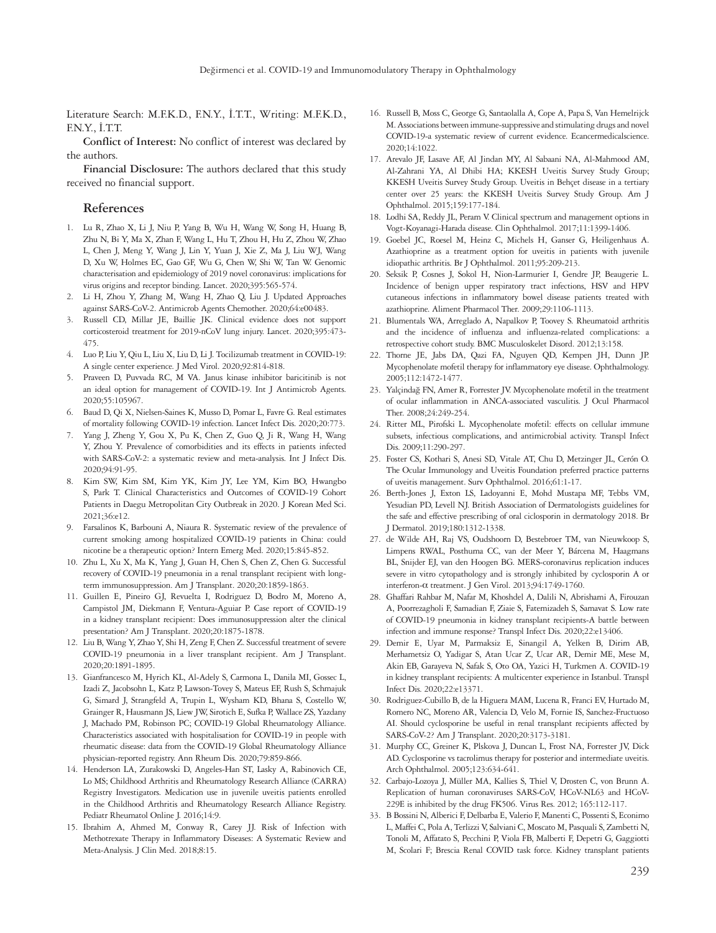Literature Search: M.F.K.D., F.N.Y., İ.T.T., Writing: M.F.K.D., F.N.Y., İ.T.T.

**Conflict of Interest:** No conflict of interest was declared by the authors.

**Financial Disclosure:** The authors declared that this study received no financial support.

## **References**

- 1. Lu R, Zhao X, Li J, Niu P, Yang B, Wu H, Wang W, Song H, Huang B, Zhu N, Bi Y, Ma X, Zhan F, Wang L, Hu T, Zhou H, Hu Z, Zhou W, Zhao L, Chen J, Meng Y, Wang J, Lin Y, Yuan J, Xie Z, Ma J, Liu WJ, Wang D, Xu W, Holmes EC, Gao GF, Wu G, Chen W, Shi W, Tan W. Genomic characterisation and epidemiology of 2019 novel coronavirus: implications for virus origins and receptor binding. Lancet. 2020;395:565-574.
- 2. Li H, Zhou Y, Zhang M, Wang H, Zhao Q, Liu J. Updated Approaches against SARS-CoV-2. Antimicrob Agents Chemother. 2020;64:e00483.
- 3. Russell CD, Millar JE, Baillie JK. Clinical evidence does not support corticosteroid treatment for 2019-nCoV lung injury. Lancet. 2020;395:473- 475.
- 4. Luo P, Liu Y, Qiu L, Liu X, Liu D, Li J. Tocilizumab treatment in COVID-19: A single center experience. J Med Virol. 2020;92:814-818.
- 5. Praveen D, Puvvada RC, M VA. Janus kinase inhibitor baricitinib is not an ideal option for management of COVID-19. Int J Antimicrob Agents. 2020;55:105967.
- 6. Baud D, Qi X, Nielsen-Saines K, Musso D, Pomar L, Favre G. Real estimates of mortality following COVID-19 infection. Lancet Infect Dis. 2020;20:773.
- 7. Yang J, Zheng Y, Gou X, Pu K, Chen Z, Guo Q, Ji R, Wang H, Wang Y, Zhou Y. Prevalence of comorbidities and its effects in patients infected with SARS-CoV-2: a systematic review and meta-analysis. Int J Infect Dis. 2020;94:91-95.
- 8. Kim SW, Kim SM, Kim YK, Kim JY, Lee YM, Kim BO, Hwangbo S, Park T. Clinical Characteristics and Outcomes of COVID-19 Cohort Patients in Daegu Metropolitan City Outbreak in 2020. J Korean Med Sci. 2021;36:e12.
- 9. Farsalinos K, Barbouni A, Niaura R. Systematic review of the prevalence of current smoking among hospitalized COVID-19 patients in China: could nicotine be a therapeutic option? Intern Emerg Med. 2020;15:845-852.
- 10. Zhu L, Xu X, Ma K, Yang J, Guan H, Chen S, Chen Z, Chen G. Successful recovery of COVID-19 pneumonia in a renal transplant recipient with longterm immunosuppression. Am J Transplant. 2020;20:1859-1863.
- 11. Guillen E, Pineiro GJ, Revuelta I, Rodriguez D, Bodro M, Moreno A, Campistol JM, Diekmann F, Ventura-Aguiar P. Case report of COVID-19 in a kidney transplant recipient: Does immunosuppression alter the clinical presentation? Am J Transplant. 2020;20:1875-1878.
- 12. Liu B, Wang Y, Zhao Y, Shi H, Zeng F, Chen Z. Successful treatment of severe COVID-19 pneumonia in a liver transplant recipient. Am J Transplant. 2020;20:1891-1895.
- 13. Gianfrancesco M, Hyrich KL, Al-Adely S, Carmona L, Danila MI, Gossec L, Izadi Z, Jacobsohn L, Katz P, Lawson-Tovey S, Mateus EF, Rush S, Schmajuk G, Simard J, Strangfeld A, Trupin L, Wysham KD, Bhana S, Costello W, Grainger R, Hausmann JS, Liew JW, Sirotich E, Sufka P, Wallace ZS, Yazdany J, Machado PM, Robinson PC; COVID-19 Global Rheumatology Alliance. Characteristics associated with hospitalisation for COVID-19 in people with rheumatic disease: data from the COVID-19 Global Rheumatology Alliance physician-reported registry. Ann Rheum Dis. 2020;79:859-866.
- 14. Henderson LA, Zurakowski D, Angeles-Han ST, Lasky A, Rabinovich CE, Lo MS; Childhood Arthritis and Rheumatology Research Alliance (CARRA) Registry Investigators. Medication use in juvenile uveitis patients enrolled in the Childhood Arthritis and Rheumatology Research Alliance Registry. Pediatr Rheumatol Online J. 2016:14:9.
- 15. Ibrahim A, Ahmed M, Conway R, Carey JJ. Risk of Infection with Methotrexate Therapy in Inflammatory Diseases: A Systematic Review and Meta-Analysis. J Clin Med. 2018;8:15.
- 16. Russell B, Moss C, George G, Santaolalla A, Cope A, Papa S, Van Hemelrijck M. Associations between immune-suppressive and stimulating drugs and novel COVID-19-a systematic review of current evidence. Ecancermedicalscience. 2020;14:1022.
- 17. Arevalo JF, Lasave AF, Al Jindan MY, Al Sabaani NA, Al-Mahmood AM, Al-Zahrani YA, Al Dhibi HA; KKESH Uveitis Survey Study Group; KKESH Uveitis Survey Study Group. Uveitis in Behçet disease in a tertiary center over 25 years: the KKESH Uveitis Survey Study Group. Am J Ophthalmol. 2015;159:177-184.
- 18. Lodhi SA, Reddy JL, Peram V. Clinical spectrum and management options in Vogt-Koyanagi-Harada disease. Clin Ophthalmol. 2017;11:1399-1406.
- 19. Goebel JC, Roesel M, Heinz C, Michels H, Ganser G, Heiligenhaus A. Azathioprine as a treatment option for uveitis in patients with juvenile idiopathic arthritis. Br J Ophthalmol. 2011;95:209-213.
- 20. Seksik P, Cosnes J, Sokol H, Nion-Larmurier I, Gendre JP, Beaugerie L. Incidence of benign upper respiratory tract infections, HSV and HPV cutaneous infections in inflammatory bowel disease patients treated with azathioprine. Aliment Pharmacol Ther. 2009;29:1106-1113.
- 21. Blumentals WA, Arreglado A, Napalkov P, Toovey S. Rheumatoid arthritis and the incidence of influenza and influenza-related complications: a retrospective cohort study. BMC Musculoskelet Disord. 2012;13:158.
- 22. Thorne JE, Jabs DA, Qazi FA, Nguyen QD, Kempen JH, Dunn JP. Mycophenolate mofetil therapy for inflammatory eye disease. Ophthalmology. 2005;112:1472-1477.
- 23. Yalçindağ FN, Amer R, Forrester JV. Mycophenolate mofetil in the treatment of ocular inflammation in ANCA-associated vasculitis. J Ocul Pharmacol Ther. 2008;24:249-254.
- 24. Ritter ML, Pirofski L. Mycophenolate mofetil: effects on cellular immune subsets, infectious complications, and antimicrobial activity. Transpl Infect Dis. 2009;11:290-297.
- 25. Foster CS, Kothari S, Anesi SD, Vitale AT, Chu D, Metzinger JL, Cerón O. The Ocular Immunology and Uveitis Foundation preferred practice patterns of uveitis management. Surv Ophthalmol. 2016;61:1-17.
- 26. Berth-Jones J, Exton LS, Ladoyanni E, Mohd Mustapa MF, Tebbs VM, Yesudian PD, Levell NJ. British Association of Dermatologists guidelines for the safe and effective prescribing of oral ciclosporin in dermatology 2018. Br J Dermatol. 2019;180:1312-1338.
- 27. de Wilde AH, Raj VS, Oudshoorn D, Bestebroer TM, van Nieuwkoop S, Limpens RWAL, Posthuma CC, van der Meer Y, Bárcena M, Haagmans BL, Snijder EJ, van den Hoogen BG. MERS-coronavirus replication induces severe in vitro cytopathology and is strongly inhibited by cyclosporin A or interferon-α treatment. J Gen Virol. 2013;94:1749-1760.
- 28. Ghaffari Rahbar M, Nafar M, Khoshdel A, Dalili N, Abrishami A, Firouzan A, Poorrezagholi F, Samadian F, Ziaie S, Fatemizadeh S, Samavat S. Low rate of COVID-19 pneumonia in kidney transplant recipients-A battle between infection and immune response? Transpl Infect Dis. 2020;22:e13406.
- 29. Demir E, Uyar M, Parmaksiz E, Sinangil A, Yelken B, Dirim AB, Merhametsiz O, Yadigar S, Atan Ucar Z, Ucar AR, Demir ME, Mese M, Akin EB, Garayeva N, Safak S, Oto OA, Yazici H, Turkmen A. COVID-19 in kidney transplant recipients: A multicenter experience in Istanbul. Transpl Infect Dis. 2020;22:e13371.
- 30. Rodriguez-Cubillo B, de la Higuera MAM, Lucena R, Franci EV, Hurtado M, Romero NC, Moreno AR, Valencia D, Velo M, Fornie IS, Sanchez-Fructuoso AI. Should cyclosporine be useful in renal transplant recipients affected by SARS-CoV-2? Am J Transplant. 2020;20:3173-3181.
- 31. Murphy CC, Greiner K, Plskova J, Duncan L, Frost NA, Forrester JV, Dick AD. Cyclosporine vs tacrolimus therapy for posterior and intermediate uveitis. Arch Ophthalmol. 2005;123:634-641.
- 32. Carbajo-Lozoya J, Müller MA, Kallies S, Thiel V, Drosten C, von Brunn A. Replication of human coronaviruses SARS-CoV, HCoV-NL63 and HCoV-229E is inhibited by the drug FK506. Virus Res. 2012; 165:112-117.
- 33. B Bossini N, Alberici F, Delbarba E, Valerio F, Manenti C, Possenti S, Econimo L, Maffei C, Pola A, Terlizzi V, Salviani C, Moscato M, Pasquali S, Zambetti N, Tonoli M, Affatato S, Pecchini P, Viola FB, Malberti F, Depetri G, Gaggiotti M, Scolari F; Brescia Renal COVID task force. Kidney transplant patients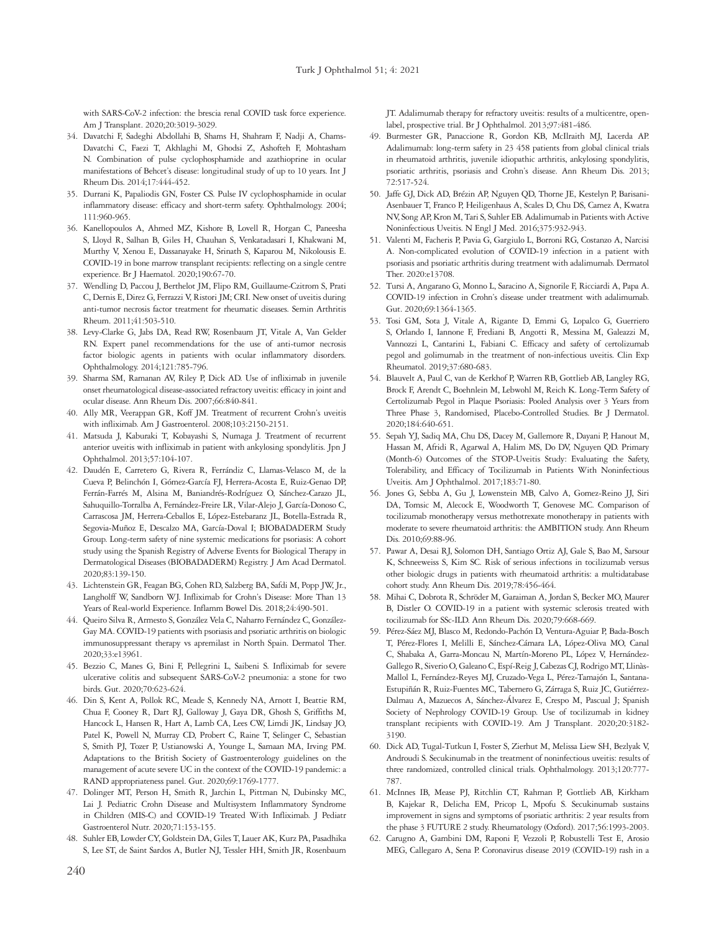with SARS-CoV-2 infection: the brescia renal COVID task force experience. Am J Transplant. 2020;20:3019-3029.

- 34. Davatchi F, Sadeghi Abdollahi B, Shams H, Shahram F, Nadji A, Chams-Davatchi C, Faezi T, Akhlaghi M, Ghodsi Z, Ashofteh F, Mohtasham N. Combination of pulse cyclophosphamide and azathioprine in ocular manifestations of Behcet's disease: longitudinal study of up to 10 years. Int J Rheum Dis. 2014;17:444-452.
- 35. Durrani K, Papaliodis GN, Foster CS. Pulse IV cyclophosphamide in ocular inflammatory disease: efficacy and short-term safety. Ophthalmology. 2004; 111:960-965.
- 36. Kanellopoulos A, Ahmed MZ, Kishore B, Lovell R, Horgan C, Paneesha S, Lloyd R, Salhan B, Giles H, Chauhan S, Venkatadasari I, Khakwani M, Murthy V, Xenou E, Dassanayake H, Srinath S, Kaparou M, Nikolousis E. COVID-19 in bone marrow transplant recipients: reflecting on a single centre experience. Br J Haematol. 2020;190:67-70.
- 37. Wendling D, Paccou J, Berthelot JM, Flipo RM, Guillaume-Czitrom S, Prati C, Dernis E, Direz G, Ferrazzi V, Ristori JM; CRI. New onset of uveitis during anti-tumor necrosis factor treatment for rheumatic diseases. Semin Arthritis Rheum. 2011;41:503-510.
- 38. Levy-Clarke G, Jabs DA, Read RW, Rosenbaum JT, Vitale A, Van Gelder RN. Expert panel recommendations for the use of anti-tumor necrosis factor biologic agents in patients with ocular inflammatory disorders. Ophthalmology. 2014;121:785-796.
- 39. Sharma SM, Ramanan AV, Riley P, Dick AD. Use of infliximab in juvenile onset rheumatological disease-associated refractory uveitis: efficacy in joint and ocular disease. Ann Rheum Dis. 2007;66:840-841.
- 40. Ally MR, Veerappan GR, Koff JM. Treatment of recurrent Crohn's uveitis with infliximab. Am J Gastroenterol. 2008;103:2150-2151.
- 41. Matsuda J, Kaburaki T, Kobayashi S, Numaga J. Treatment of recurrent anterior uveitis with infliximab in patient with ankylosing spondylitis. Jpn J Ophthalmol. 2013;57:104-107.
- 42. Daudén E, Carretero G, Rivera R, Ferrándiz C, Llamas-Velasco M, de la Cueva P, Belinchón I, Gómez-García FJ, Herrera-Acosta E, Ruiz-Genao DP, Ferrán-Farrés M, Alsina M, Baniandrés-Rodríguez O, Sánchez-Carazo JL, Sahuquillo-Torralba A, Fernández-Freire LR, Vilar-Alejo J, García-Donoso C, Carrascosa JM, Herrera-Ceballos E, López-Estebaranz JL, Botella-Estrada R, Segovia-Muñoz E, Descalzo MA, García-Doval I; BIOBADADERM Study Group. Long-term safety of nine systemic medications for psoriasis: A cohort study using the Spanish Registry of Adverse Events for Biological Therapy in Dermatological Diseases (BIOBADADERM) Registry. J Am Acad Dermatol. 2020;83:139-150.
- 43. Lichtenstein GR, Feagan BG, Cohen RD, Salzberg BA, Safdi M, Popp JW, Jr., Langholff W, Sandborn WJ. Infliximab for Crohn's Disease: More Than 13 Years of Real-world Experience. Inflamm Bowel Dis. 2018;24:490-501.
- 44. Queiro Silva R, Armesto S, González Vela C, Naharro Fernández C, González-Gay MA. COVID-19 patients with psoriasis and psoriatic arthritis on biologic immunosuppressant therapy vs apremilast in North Spain. Dermatol Ther. 2020;33:e13961.
- 45. Bezzio C, Manes G, Bini F, Pellegrini L, Saibeni S. Infliximab for severe ulcerative colitis and subsequent SARS-CoV-2 pneumonia: a stone for two birds. Gut. 2020;70:623-624.
- 46. Din S, Kent A, Pollok RC, Meade S, Kennedy NA, Arnott I, Beattie RM, Chua F, Cooney R, Dart RJ, Galloway J, Gaya DR, Ghosh S, Griffiths M, Hancock L, Hansen R, Hart A, Lamb CA, Lees CW, Limdi JK, Lindsay JO, Patel K, Powell N, Murray CD, Probert C, Raine T, Selinger C, Sebastian S, Smith PJ, Tozer P, Ustianowski A, Younge L, Samaan MA, Irving PM. Adaptations to the British Society of Gastroenterology guidelines on the management of acute severe UC in the context of the COVID-19 pandemic: a RAND appropriateness panel. Gut. 2020;69:1769-1777.
- 47. Dolinger MT, Person H, Smith R, Jarchin L, Pittman N, Dubinsky MC, Lai J. Pediatric Crohn Disease and Multisystem Inflammatory Syndrome in Children (MIS-C) and COVID-19 Treated With Infliximab. J Pediatr Gastroenterol Nutr. 2020;71:153-155.
- 48. Suhler EB, Lowder CY, Goldstein DA, Giles T, Lauer AK, Kurz PA, Pasadhika S, Lee ST, de Saint Sardos A, Butler NJ, Tessler HH, Smith JR, Rosenbaum

JT. Adalimumab therapy for refractory uveitis: results of a multicentre, openlabel, prospective trial. Br J Ophthalmol. 2013;97:481-486.

- 49. Burmester GR, Panaccione R, Gordon KB, McIlraith MJ, Lacerda AP. Adalimumab: long-term safety in 23 458 patients from global clinical trials in rheumatoid arthritis, juvenile idiopathic arthritis, ankylosing spondylitis, psoriatic arthritis, psoriasis and Crohn's disease. Ann Rheum Dis. 2013; 72:517-524.
- 50. Jaffe GJ, Dick AD, Brézin AP, Nguyen QD, Thorne JE, Kestelyn P, Barisani-Asenbauer T, Franco P, Heiligenhaus A, Scales D, Chu DS, Camez A, Kwatra NV, Song AP, Kron M, Tari S, Suhler EB. Adalimumab in Patients with Active Noninfectious Uveitis. N Engl J Med. 2016;375:932-943.
- 51. Valenti M, Facheris P, Pavia G, Gargiulo L, Borroni RG, Costanzo A, Narcisi A. Non-complicated evolution of COVID-19 infection in a patient with psoriasis and psoriatic arthritis during treatment with adalimumab. Dermatol Ther. 2020:e13708.
- 52. Tursi A, Angarano G, Monno L, Saracino A, Signorile F, Ricciardi A, Papa A. COVID-19 infection in Crohn's disease under treatment with adalimumab. Gut. 2020;69:1364-1365.
- 53. Tosi GM, Sota J, Vitale A, Rigante D, Emmi G, Lopalco G, Guerriero S, Orlando I, Iannone F, Frediani B, Angotti R, Messina M, Galeazzi M, Vannozzi L, Cantarini L, Fabiani C. Efficacy and safety of certolizumab pegol and golimumab in the treatment of non-infectious uveitis. Clin Exp Rheumatol. 2019;37:680-683.
- 54. Blauvelt A, Paul C, van de Kerkhof P, Warren RB, Gottlieb AB, Langley RG, Brock F, Arendt C, Boehnlein M, Lebwohl M, Reich K. Long-Term Safety of Certolizumab Pegol in Plaque Psoriasis: Pooled Analysis over 3 Years from Three Phase 3, Randomised, Placebo-Controlled Studies. Br J Dermatol. 2020;184:640-651.
- 55. Sepah YJ, Sadiq MA, Chu DS, Dacey M, Gallemore R, Dayani P, Hanout M, Hassan M, Afridi R, Agarwal A, Halim MS, Do DV, Nguyen QD. Primary (Month-6) Outcomes of the STOP-Uveitis Study: Evaluating the Safety, Tolerability, and Efficacy of Tocilizumab in Patients With Noninfectious Uveitis. Am J Ophthalmol. 2017;183:71-80.
- 56. Jones G, Sebba A, Gu J, Lowenstein MB, Calvo A, Gomez-Reino JJ, Siri DA, Tomsic M, Alecock E, Woodworth T, Genovese MC. Comparison of tocilizumab monotherapy versus methotrexate monotherapy in patients with moderate to severe rheumatoid arthritis: the AMBITION study. Ann Rheum Dis. 2010;69:88-96.
- 57. Pawar A, Desai RJ, Solomon DH, Santiago Ortiz AJ, Gale S, Bao M, Sarsour K, Schneeweiss S, Kim SC. Risk of serious infections in tocilizumab versus other biologic drugs in patients with rheumatoid arthritis: a multidatabase cohort study. Ann Rheum Dis. 2019;78:456-464.
- 58. Mihai C, Dobrota R, Schröder M, Garaiman A, Jordan S, Becker MO, Maurer B, Distler O. COVID-19 in a patient with systemic sclerosis treated with tocilizumab for SSc-ILD. Ann Rheum Dis. 2020;79:668-669.
- 59. Pérez-Sáez MJ, Blasco M, Redondo-Pachón D, Ventura-Aguiar P, Bada-Bosch T, Pérez-Flores I, Melilli E, Sánchez-Cámara LA, López-Oliva MO, Canal C, Shabaka A, Garra-Moncau N, Martín-Moreno PL, López V, Hernández-Gallego R, Siverio O, Galeano C, Espí-Reig J, Cabezas CJ, Rodrigo MT, Llinàs-Mallol L, Fernández-Reyes MJ, Cruzado-Vega L, Pérez-Tamajón L, Santana-Estupiñán R, Ruiz-Fuentes MC, Tabernero G, Zárraga S, Ruiz JC, Gutiérrez-Dalmau A, Mazuecos A, Sánchez-Álvarez E, Crespo M, Pascual J; Spanish Society of Nephrology COVID-19 Group. Use of tocilizumab in kidney transplant recipients with COVID-19. Am J Transplant. 2020;20:3182- 3190.
- 60. Dick AD, Tugal-Tutkun I, Foster S, Zierhut M, Melissa Liew SH, Bezlyak V, Androudi S. Secukinumab in the treatment of noninfectious uveitis: results of three randomized, controlled clinical trials. Ophthalmology. 2013;120:777- 787.
- 61. McInnes IB, Mease PJ, Ritchlin CT, Rahman P, Gottlieb AB, Kirkham B, Kajekar R, Delicha EM, Pricop L, Mpofu S. Secukinumab sustains improvement in signs and symptoms of psoriatic arthritis: 2 year results from the phase 3 FUTURE 2 study. Rheumatology (Oxford). 2017;56:1993-2003.
- 62. Carugno A, Gambini DM, Raponi F, Vezzoli P, Robustelli Test E, Arosio MEG, Callegaro A, Sena P. Coronavirus disease 2019 (COVID-19) rash in a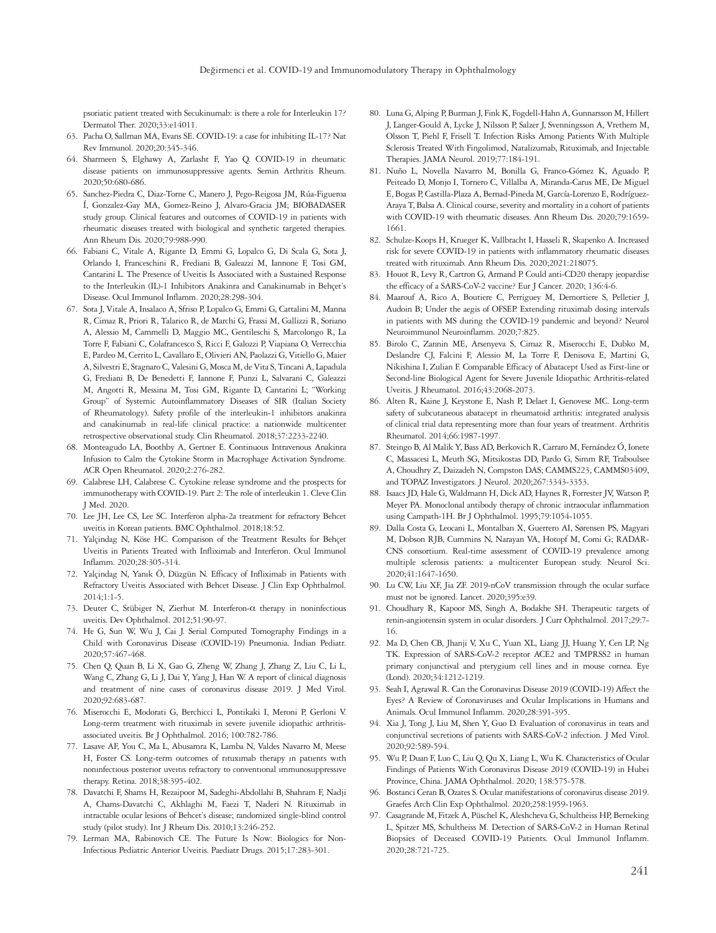psoriatic patient treated with Secukinumab: is there a role for Interleukin 17? Dermatol Ther. 2020;33:e14011.

- 63. Pacha O, Sallman MA, Evans SE. COVID-19: a case for inhibiting IL-17? Nat Rev Immunol. 2020;20:345-346.
- 64. Sharmeen S, Elghawy A, Zarlasht F, Yao Q. COVID-19 in rheumatic disease patients on immunosuppressive agents. Semin Arthritis Rheum. 2020;50:680-686.
- 65. Sanchez-Piedra C, Diaz-Torne C, Manero J, Pego-Reigosa JM, Rúa-Figueroa Í, Gonzalez-Gay MA, Gomez-Reino J, Alvaro-Gracia JM; BIOBADASER study group. Clinical features and outcomes of COVID-19 in patients with rheumatic diseases treated with biological and synthetic targeted therapies. Ann Rheum Dis. 2020;79:988-990.
- 66. Fabiani C, Vitale A, Rigante D, Emmi G, Lopalco G, Di Scala G, Sota J, Orlando I, Franceschini R, Frediani B, Galeazzi M, Iannone F, Tosi GM, Cantarini L. The Presence of Uveitis Is Associated with a Sustained Response to the Interleukin (IL)-1 Inhibitors Anakinra and Canakinumab in Behçet's Disease. Ocul Immunol Inflamm. 2020;28:298-304.
- 67. Sota J, Vitale A, Insalaco A, Sfriso P, Lopalco G, Emmi G, Cattalini M, Manna R, Cimaz R, Priori R, Talarico R, de Marchi G, Frassi M, Gallizzi R, Soriano A, Alessio M, Cammelli D, Maggio MC, Gentileschi S, Marcolongo R, La Torre F, Fabiani C, Colafrancesco S, Ricci F, Galozzi P, Viapiana O, Verrecchia E, Pardeo M, Cerrito L, Cavallaro E, Olivieri AN, Paolazzi G, Vitiello G, Maier A, Silvestri E, Stagnaro C, Valesini G, Mosca M, de Vita S, Tincani A, Lapadula G, Frediani B, De Benedetti F, Iannone F, Punzi L, Salvarani C, Galeazzi M, Angotti R, Messina M, Tosi GM, Rigante D, Cantarini L; "Working Group" of Systemic Autoinflammatory Diseases of SIR (Italian Society of Rheumatology). Safety profile of the interleukin-1 inhibitors anakinra and canakinumab in real-life clinical practice: a nationwide multicenter retrospective observational study. Clin Rheumatol. 2018;37:2233-2240.
- 68. Monteagudo LA, Boothby A, Gertner E. Continuous Intravenous Anakinra Infusion to Calm the Cytokine Storm in Macrophage Activation Syndrome. ACR Open Rheumatol. 2020;2:276-282.
- 69. Calabrese LH, Calabrese C. Cytokine release syndrome and the prospects for immunotherapy with COVID-19. Part 2: The role of interleukin 1. Cleve Clin J Med. 2020.
- 70. Lee JH, Lee CS, Lee SC. Interferon alpha-2a treatment for refractory Behcet uveitis in Korean patients. BMC Ophthalmol. 2018;18:52.
- 71. Yalçindag N, Köse HC. Comparison of the Treatment Results for Behçet Uveitis in Patients Treated with Infliximab and Interferon. Ocul Immunol Inflamm. 2020;28:305-314.
- 72. Yalçindag N, Yanık Ö, Düzgün N. Efficacy of Infliximab in Patients with Refractory Uveitis Associated with Behcet Disease. J Clin Exp Ophthalmol. 2014;1:1-5.
- 73. Deuter C, Stübiger N, Zierhut M. Interferon-α therapy in noninfectious uveitis. Dev Ophthalmol. 2012;51:90-97.
- 74. He G, Sun W, Wu J, Cai J. Serial Computed Tomography Findings in a Child with Coronavirus Disease (COVID-19) Pneumonia. Indian Pediatr. 2020;57:467-468.
- 75. Chen Q, Quan B, Li X, Gao G, Zheng W, Zhang J, Zhang Z, Liu C, Li L, Wang C, Zhang G, Li J, Dai Y, Yang J, Han W. A report of clinical diagnosis and treatment of nine cases of coronavirus disease 2019. J Med Virol. 2020;92:683-687.
- 76. Miserocchi E, Modorati G, Berchicci L, Pontikaki I, Meroni P, Gerloni V. Long-term treatment with rituximab in severe juvenile idiopathic arthritisassociated uveitis. Br J Ophthalmol. 2016; 100:782-786.
- 77. Lasave AF, You C, Ma L, Abusamra K, Lamba N, Valdes Navarro M, Meese H, Foster CS. Long-term outcomes of rıtuxımab therapy ın patıents wıth nonınfectıous posterıor uveıtıs refractory to conventıonal ımmunosuppressıve therapy. Retina. 2018;38:395-402.
- 78. Davatchi F, Shams H, Rezaipoor M, Sadeghi-Abdollahi B, Shahram F, Nadji A, Chams-Davatchi C, Akhlaghi M, Faezi T, Naderi N. Rituximab in intractable ocular lesions of Behcet's disease; randomized single-blind control study (pilot study). Int J Rheum Dis. 2010;13:246-252.
- 79. Lerman MA, Rabinovich CE. The Future Is Now: Biologics for Non-Infectious Pediatric Anterior Uveitis. Paediatr Drugs. 2015;17:283-301.
- 80. Luna G, Alping P, Burman J, Fink K, Fogdell-Hahn A, Gunnarsson M, Hillert J, Langer-Gould A, Lycke J, Nilsson P, Salzer J, Svenningsson A, Vrethem M, Olsson T, Piehl F, Frisell T. Infection Risks Among Patients With Multiple Sclerosis Treated With Fingolimod, Natalizumab, Rituximab, and Injectable Therapies. JAMA Neurol. 2019;77:184-191.
- 81. Nuño L, Novella Navarro M, Bonilla G, Franco-Gómez K, Aguado P, Peiteado D, Monjo I, Tornero C, Villalba A, Miranda-Carus ME, De Miguel E, Bogas P, Castilla-Plaza A, Bernad-Pineda M, García-Lorenzo E, Rodríguez-Araya T, Balsa A. Clinical course, severity and mortality in a cohort of patients with COVID-19 with rheumatic diseases. Ann Rheum Dis. 2020;79:1659- 1661.
- 82. Schulze-Koops H, Krueger K, Vallbracht I, Hasseli R, Skapenko A. Increased risk for severe COVID-19 in patients with inflammatory rheumatic diseases treated with rituximab. Ann Rheum Dis. 2020;2021:218075.
- 83. Houot R, Levy R, Cartron G, Armand P. Could anti-CD20 therapy jeopardise the efficacy of a SARS-CoV-2 vaccine? Eur J Cancer. 2020; 136:4-6.
- 84. Maarouf A, Rico A, Boutiere C, Perriguey M, Demortiere S, Pelletier J, Audoin B; Under the aegis of OFSEP. Extending rituximab dosing intervals in patients with MS during the COVID-19 pandemic and beyond? Neurol Neuroimmunol Neuroinflamm. 2020;7:825.
- 85. Birolo C, Zannin ME, Arsenyeva S, Cimaz R, Miserocchi E, Dubko M, Deslandre CJ, Falcini F, Alessio M, La Torre F, Denisova E, Martini G, Nikishina I, Zulian F. Comparable Efficacy of Abatacept Used as First-line or Second-line Biological Agent for Severe Juvenile Idiopathic Arthritis-related Uveitis. J Rheumatol. 2016;43:2068-2073.
- 86. Alten R, Kaine J, Keystone E, Nash P, Delaet I, Genovese MC. Long-term safety of subcutaneous abatacept in rheumatoid arthritis: integrated analysis of clinical trial data representing more than four years of treatment. Arthritis Rheumatol. 2014;66:1987-1997.
- 87. Steingo B, Al Malik Y, Bass AD, Berkovich R, Carraro M, Fernández Ó, Ionete C, Massacesi L, Meuth SG, Mitsikostas DD, Pardo G, Simm RF, Traboulsee A, Choudhry Z, Daizadeh N, Compston DAS; CAMMS223, CAMMS03409, and TOPAZ Investigators. J Neurol. 2020;267:3343-3353.
- 88. Isaacs JD, Hale G, Waldmann H, Dick AD, Haynes R, Forrester JV, Watson P, Meyer PA. Monoclonal antibody therapy of chronic intraocular inflammation using Campath-1H. Br J Ophthalmol. 1995;79:1054-1055.
- 89. Dalla Costa G, Leocani L, Montalban X, Guerrero AI, Sørensen PS, Magyari M, Dobson RJB, Cummins N, Narayan VA, Hotopf M, Comi G; RADAR-CNS consortium. Real-time assessment of COVID-19 prevalence among multiple sclerosis patients: a multicenter European study. Neurol Sci. 2020;41:1647-1650.
- 90. Lu CW, Liu XF, Jia ZF. 2019-nCoV transmission through the ocular surface must not be ignored. Lancet. 2020;395:e39.
- 91. Choudhary R, Kapoor MS, Singh A, Bodakhe SH. Therapeutic targets of renin-angiotensin system in ocular disorders. J Curr Ophthalmol. 2017;29:7- 16.
- 92. Ma D, Chen CB, Jhanji V, Xu C, Yuan XL, Liang JJ, Huang Y, Cen LP, Ng TK. Expression of SARS-CoV-2 receptor ACE2 and TMPRSS2 in human primary conjunctival and pterygium cell lines and in mouse cornea. Eye (Lond). 2020;34:1212-1219.
- 93. Seah I, Agrawal R. Can the Coronavirus Disease 2019 (COVID-19) Affect the Eyes? A Review of Coronaviruses and Ocular Implications in Humans and Animals. Ocul Immunol Inflamm. 2020;28:391-395.
- 94. Xia J, Tong J, Liu M, Shen Y, Guo D. Evaluation of coronavirus in tears and conjunctival secretions of patients with SARS-CoV-2 infection. J Med Virol. 2020;92:589-594.
- 95. Wu P, Duan F, Luo C, Liu Q, Qu X, Liang L, Wu K. Characteristics of Ocular Findings of Patients With Coronavirus Disease 2019 (COVID-19) in Hubei Province, China. JAMA Ophthalmol. 2020; 138:575-578.
- 96. Bostanci Ceran B, Ozates S. Ocular manifestations of coronavirus disease 2019. Graefes Arch Clin Exp Ophthalmol. 2020;258:1959-1963.
- 97. Casagrande M, Fitzek A, Püschel K, Aleshcheva G, Schultheiss HP, Berneking L, Spitzer MS, Schultheiss M. Detection of SARS-CoV-2 in Human Retinal Biopsies of Deceased COVID-19 Patients. Ocul Immunol Inflamm. 2020;28:721-725.